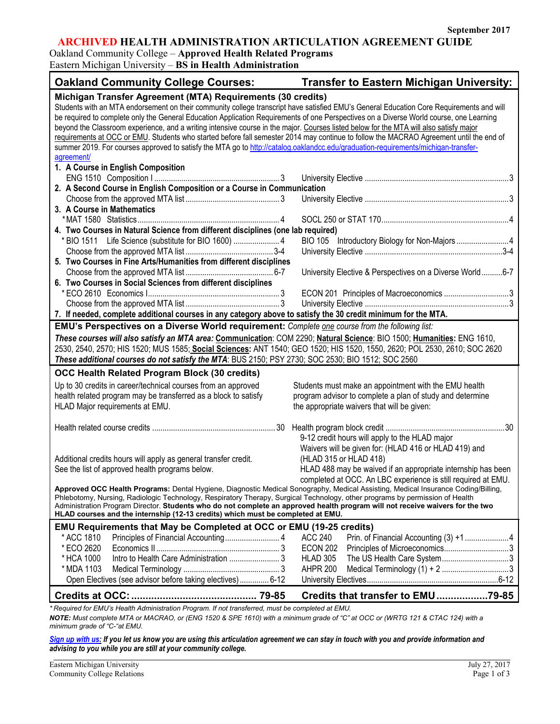٦

## **ARCHIVED HEALTH ADMINISTRATION ARTICULATION AGREEMENT GUIDE**

Oakland Community College – **Approved Health Related Programs**

Eastern Michigan University – **BS in Health Administration**

| <b>Oakland Community College Courses:</b>                                                                                                | <b>Transfer to Eastern Michigan University:</b>               |  |  |  |
|------------------------------------------------------------------------------------------------------------------------------------------|---------------------------------------------------------------|--|--|--|
| Michigan Transfer Agreement (MTA) Requirements (30 credits)                                                                              |                                                               |  |  |  |
| Students with an MTA endorsement on their community college transcript have satisfied EMU's General Education Core Requirements and will |                                                               |  |  |  |
| be required to complete only the General Education Application Requirements of one Perspectives on a Diverse World course, one Learning  |                                                               |  |  |  |
| beyond the Classroom experience, and a writing intensive course in the major. Courses listed below for the MTA will also satisfy major   |                                                               |  |  |  |
| requirements at OCC or EMU. Students who started before fall semester 2014 may continue to follow the MACRAO Agreement until the end of  |                                                               |  |  |  |
| summer 2019. For courses approved to satisfy the MTA go to http://catalog.oaklandcc.edu/graduation-requirements/michigan-transfer-       |                                                               |  |  |  |
| agreement/                                                                                                                               |                                                               |  |  |  |
| 1. A Course in English Composition                                                                                                       |                                                               |  |  |  |
|                                                                                                                                          |                                                               |  |  |  |
| 2. A Second Course in English Composition or a Course in Communication                                                                   |                                                               |  |  |  |
|                                                                                                                                          |                                                               |  |  |  |
| 3. A Course in Mathematics                                                                                                               |                                                               |  |  |  |
|                                                                                                                                          |                                                               |  |  |  |
| 4. Two Courses in Natural Science from different disciplines (one lab required)                                                          |                                                               |  |  |  |
| * BIO 1511 Life Science (substitute for BIO 1600)  4                                                                                     | BIO 105 Introductory Biology for Non-Majors 4                 |  |  |  |
|                                                                                                                                          |                                                               |  |  |  |
| 5. Two Courses in Fine Arts/Humanities from different disciplines                                                                        |                                                               |  |  |  |
|                                                                                                                                          | University Elective & Perspectives on a Diverse World6-7      |  |  |  |
| 6. Two Courses in Social Sciences from different disciplines                                                                             |                                                               |  |  |  |
|                                                                                                                                          | ECON 201 Principles of Macroeconomics 3                       |  |  |  |
|                                                                                                                                          |                                                               |  |  |  |
|                                                                                                                                          |                                                               |  |  |  |
| 7. If needed, complete additional courses in any category above to satisfy the 30 credit minimum for the MTA.                            |                                                               |  |  |  |
| EMU's Perspectives on a Diverse World requirement: Complete one course from the following list:                                          |                                                               |  |  |  |
| These courses will also satisfy an MTA area: Communication: COM 2290; Natural Science: BIO 1500; Humanities: ENG 1610,                   |                                                               |  |  |  |
| 2530, 2540, 2570; HIS 1520; MUS 1585; Social Sciences: ANT 1540; GEO 1520; HIS 1520, 1550, 2620; POL 2530, 2610; SOC 2620                |                                                               |  |  |  |
| These additional courses do not satisfy the MTA: BUS 2150; PSY 2730; SOC 2530; BIO 1512; SOC 2560                                        |                                                               |  |  |  |
| OCC Health Related Program Block (30 credits)                                                                                            |                                                               |  |  |  |
| Up to 30 credits in career/technical courses from an approved                                                                            | Students must make an appointment with the EMU health         |  |  |  |
| health related program may be transferred as a block to satisfy                                                                          | program advisor to complete a plan of study and determine     |  |  |  |
| HLAD Major requirements at EMU.                                                                                                          | the appropriate waivers that will be given:                   |  |  |  |
|                                                                                                                                          |                                                               |  |  |  |
|                                                                                                                                          |                                                               |  |  |  |
|                                                                                                                                          | 9-12 credit hours will apply to the HLAD major                |  |  |  |
|                                                                                                                                          | Waivers will be given for: (HLAD 416 or HLAD 419) and         |  |  |  |
|                                                                                                                                          | (HLAD 315 or HLAD 418)                                        |  |  |  |
| Additional credits hours will apply as general transfer credit.<br>See the list of approved health programs below.                       |                                                               |  |  |  |
|                                                                                                                                          | HLAD 488 may be waived if an appropriate internship has been  |  |  |  |
| Approved OCC Health Programs: Dental Hygiene, Diagnostic Medical Sonography, Medical Assisting, Medical Insurance Coding/Billing,        | completed at OCC. An LBC experience is still required at EMU. |  |  |  |
| Phlebotomy, Nursing, Radiologic Technology, Respiratory Therapy, Surgical Technology, other programs by permission of Health             |                                                               |  |  |  |
| Administration Program Director. Students who do not complete an approved health program will not receive waivers for the two            |                                                               |  |  |  |
| HLAD courses and the internship (12-13 credits) which must be completed at EMU.                                                          |                                                               |  |  |  |
| EMU Requirements that May be Completed at OCC or EMU (19-25 credits)                                                                     |                                                               |  |  |  |
| * ACC 1810                                                                                                                               | <b>ACC 240</b><br>Prin. of Financial Accounting (3) +14       |  |  |  |
| * ECO 2620                                                                                                                               |                                                               |  |  |  |
|                                                                                                                                          | <b>ECON 202</b>                                               |  |  |  |
| * HCA 1000                                                                                                                               | Principles of Microeconomics3                                 |  |  |  |
|                                                                                                                                          | <b>HLAD 305</b><br>The US Health Care System3                 |  |  |  |
| * MDA 1103                                                                                                                               | <b>AHPR 200</b>                                               |  |  |  |
| Open Electives (see advisor before taking electives) 6-12                                                                                |                                                               |  |  |  |
| * Required for EMU's Health Administration Program. If not transferred, must be completed at EMU.                                        | Credits that transfer to EMU79-85                             |  |  |  |

*minimum grade of "C-"at EMU.*

*[Sign up with us:](http://www.emich.edu/ccr/articulation-agreements/signup.php) If you let us know you are using this articulation agreement we can stay in touch with you and provide information and advising to you while you are still at your community college.*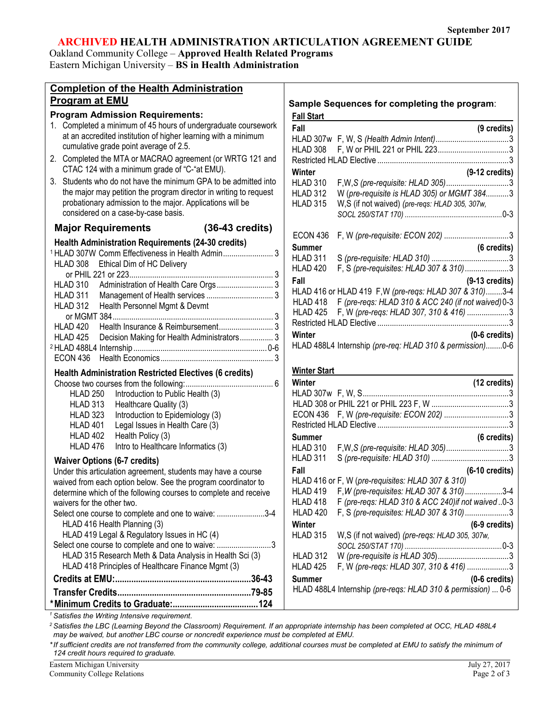# **ARCHIVED HEALTH ADMINISTRATION ARTICULATION AGREEMENT GUIDE**

Oakland Community College – **Approved Health Related Programs** Eastern Michigan University – **BS in Health Administration**

| <b>Completion of the Health Administration</b>                                                   |                     |                                                                                         |
|--------------------------------------------------------------------------------------------------|---------------------|-----------------------------------------------------------------------------------------|
| <b>Program at EMU</b>                                                                            |                     | Sample Sequences for completing the program:                                            |
| <b>Program Admission Requirements:</b>                                                           | <b>Fall Start</b>   |                                                                                         |
| 1. Completed a minimum of 45 hours of undergraduate coursework                                   | Fall                | (9 credits)                                                                             |
| at an accredited institution of higher learning with a minimum                                   |                     |                                                                                         |
| cumulative grade point average of 2.5.                                                           | HLAD 308            |                                                                                         |
| 2. Completed the MTA or MACRAO agreement (or WRTG 121 and                                        |                     |                                                                                         |
| CTAC 124 with a minimum grade of "C-"at EMU).                                                    |                     |                                                                                         |
| 3. Students who do not have the minimum GPA to be admitted into                                  | Winter              | $(9-12 \text{ credits})$                                                                |
| the major may petition the program director in writing to request                                | HLAD 310            |                                                                                         |
|                                                                                                  | HLAD 312            | W (pre-requisite is HLAD 305) or MGMT 3843                                              |
| probationary admission to the major. Applications will be<br>considered on a case-by-case basis. | HLAD 315            | W,S (if not waived) (pre-reqs: HLAD 305, 307w,                                          |
|                                                                                                  |                     |                                                                                         |
| $(36-43 \text{ credits})$<br><b>Major Requirements</b>                                           | ECON 436            |                                                                                         |
| <b>Health Administration Requirements (24-30 credits)</b>                                        | <b>Summer</b>       | (6 credits)                                                                             |
| <sup>1</sup> HLAD 307W Comm Effectiveness in Health Admin 3                                      | HLAD 311            |                                                                                         |
| Ethical Dim of HC Delivery<br>HLAD 308                                                           | HLAD 420            | F, S (pre-requisites: HLAD 307 & 310)3                                                  |
|                                                                                                  | Fall                | $(9-13$ credits)                                                                        |
| HLAD 310                                                                                         |                     | HLAD 416 or HLAD 419 F, W (pre-regs: HLAD 307 & 310)3-4                                 |
| HLAD 311                                                                                         |                     | HLAD 418 F (pre-regs: HLAD 310 & ACC 240 (if not waived) 0-3                            |
| Health Personnel Mgmt & Devmt<br>HLAD 312                                                        |                     | HLAD 425 F, W (pre-reqs: HLAD 307, 310 & 416) 3                                         |
|                                                                                                  |                     |                                                                                         |
| HLAD 420                                                                                         | Winter              | $(0-6 \text{ credits})$                                                                 |
| <b>HLAD 425</b><br>Decision Making for Health Administrators 3                                   |                     | HLAD 488L4 Internship (pre-req: HLAD 310 & permission)0-6                               |
|                                                                                                  |                     |                                                                                         |
| <b>ECON 436</b>                                                                                  |                     |                                                                                         |
| <b>Health Administration Restricted Electives (6 credits)</b>                                    | <b>Winter Start</b> |                                                                                         |
|                                                                                                  | Winter              | (12 credits)                                                                            |
| Introduction to Public Health (3)<br><b>HLAD 250</b>                                             |                     |                                                                                         |
| <b>HLAD 313</b><br>Healthcare Quality (3)                                                        |                     |                                                                                         |
| Introduction to Epidemiology (3)<br><b>HLAD 323</b>                                              |                     |                                                                                         |
| <b>HLAD 401</b><br>Legal Issues in Health Care (3)                                               |                     |                                                                                         |
|                                                                                                  |                     |                                                                                         |
| HLAD 402<br>Health Policy (3)                                                                    | <b>Summer</b>       | (6 credits)                                                                             |
| HLAD 476<br>Intro to Healthcare Informatics (3)                                                  | HLAD 310            |                                                                                         |
|                                                                                                  | HLAD 311            |                                                                                         |
| <b>Waiver Options (6-7 credits)</b>                                                              | Fall                | $(6-10 \text{ credits})$                                                                |
| Under this articulation agreement, students may have a course                                    |                     | HLAD 416 or F, W (pre-requisites: HLAD 307 & 310)                                       |
| waived from each option below. See the program coordinator to                                    |                     | HLAD 419 F, W (pre-requisites: HLAD 307 & 310)3-4                                       |
| determine which of the following courses to complete and receive<br>waivers for the other two.   | HLAD 418            | F (pre-reqs: HLAD 310 & ACC 240) if not waived 0-3                                      |
| Select one course to complete and one to waive: 3-4                                              | <b>HLAD 420</b>     | F, S (pre-requisites: HLAD 307 & 310)3                                                  |
| HLAD 416 Health Planning (3)                                                                     | Winter              | $(6-9 \text{ credits})$                                                                 |
| HLAD 419 Legal & Regulatory Issues in HC (4)                                                     | HLAD 315            |                                                                                         |
| Select one course to complete and one to waive: 3                                                |                     | W,S (if not waived) (pre-reqs: HLAD 305, 307w,                                          |
| HLAD 315 Research Meth & Data Analysis in Health Sci (3)                                         | <b>HLAD 312</b>     |                                                                                         |
| HLAD 418 Principles of Healthcare Finance Mgmt (3)                                               | HLAD 425            | F, W (pre-regs: HLAD 307, 310 & 416) 3                                                  |
|                                                                                                  |                     |                                                                                         |
|                                                                                                  | <b>Summer</b>       | $(0-6 \text{ credits})$<br>HLAD 488L4 Internship (pre-regs: HLAD 310 & permission)  0-6 |
|                                                                                                  |                     |                                                                                         |
| <sup>1</sup> Satisfies the Writing Intensive requirement.                                        |                     |                                                                                         |

*may be waived, but another LBC course or noncredit experience must be completed at EMU.*

*\*If sufficient credits are not transferred from the community college, additional courses must be completed at EMU to satisfy the minimum of 124 credit hours required to graduate.*

Eastern Michigan University<br>
Community College Relations<br>
Page 2 of 3

Community College Relations